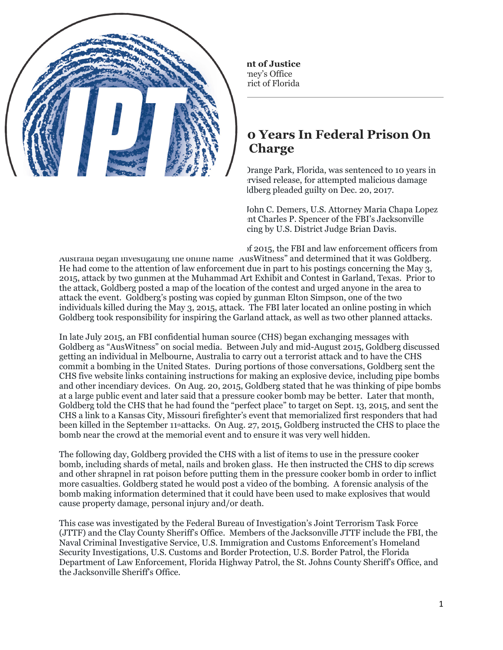FOR IMMEDIATE RELEASE Monday, June 25, 2018

## **Florida Man Sentenced To 10 Years In Federal Prison On Bomb Charge**

Jacksonville, FL – Joshua Ryne Goldberg, 23, of Orange Park, Florida, was sentenced to 10 years in federal prison, to be followed by a lifetime of supervised release, for attempted malicious damage and destruction by an explosive of a building. Goldberg pleaded guilty on Dec. 20, 2017.

Assistant Attorney General for National Security John C. Demers, U.S. Attorney Maria Chapa Lopez for the Middle District of Florida, and Special Agent Charles P. Spencer of the FBI's Jacksonville Field Office made the announcement after sentencing by U.S. District Judge Brian Davis.

According to the plea agreement, in the summer of 2015, the FBI and law enforcement officers from Australia began investigating the online name "AusWitness" and determined that it was Goldberg. He had come to the attention of law enforcement due in part to his postings concerning the May 3, 2015, attack by two gunmen at the Muhammad Art Exhibit and Contest in Garland, Texas. Prior to the attack, Goldberg posted a map of the location of the contest and urged anyone in the area to attack the event. Goldberg's posting was copied by gunman Elton Simpson, one of the two individuals killed during the May 3, 2015, attack. The FBI later located an online posting in which Goldberg took responsibility for inspiring the Garland attack, as well as two other planned attacks.

In late July 2015, an FBI confidential human source (CHS) began exchanging messages with Goldberg as "AusWitness" on social media. Between July and mid-August 2015, Goldberg discussed getting an individual in Melbourne, Australia to carry out a terrorist attack and to have the CHS commit a bombing in the United States. During portions of those conversations, Goldberg sent the CHS five website links containing instructions for making an explosive device, including pipe bombs and other incendiary devices. On Aug. 20, 2015, Goldberg stated that he was thinking of pipe bombs at a large public event and later said that a pressure cooker bomb may be better. Later that month, Goldberg told the CHS that he had found the "perfect place" to target on Sept. 13, 2015, and sent the CHS a link to a Kansas City, Missouri firefighter's event that memorialized first responders that had been killed in the September 11thattacks. On Aug. 27, 2015, Goldberg instructed the CHS to place the bomb near the crowd at the memorial event and to ensure it was very well hidden.

The following day, Goldberg provided the CHS with a list of items to use in the pressure cooker bomb, including shards of metal, nails and broken glass. He then instructed the CHS to dip screws and other shrapnel in rat poison before putting them in the pressure cooker bomb in order to inflict more casualties. Goldberg stated he would post a video of the bombing. A forensic analysis of the bomb making information determined that it could have been used to make explosives that would cause property damage, personal injury and/or death.

This case was investigated by the Federal Bureau of Investigation's Joint Terrorism Task Force (JTTF) and the Clay County Sheriff's Office. Members of the Jacksonville JTTF include the FBI, the Naval Criminal Investigative Service, U.S. Immigration and Customs Enforcement's Homeland Security Investigations, U.S. Customs and Border Protection, U.S. Border Patrol, the Florida Department of Law Enforcement, Florida Highway Patrol, the St. Johns County Sheriff's Office, and the Jacksonville Sheriff's Office.